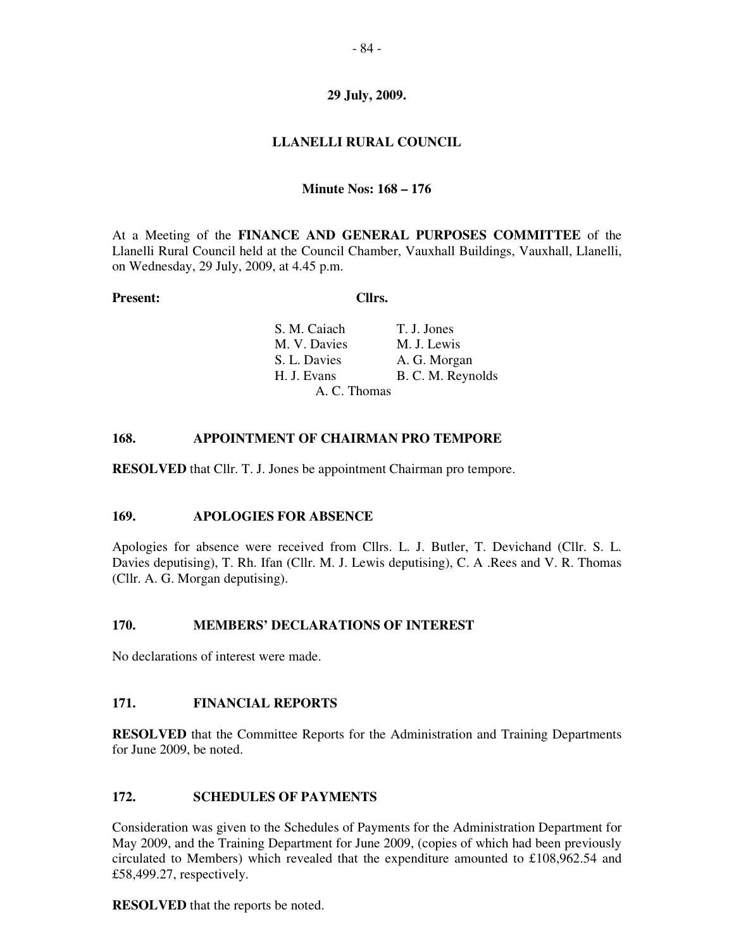## **29 July, 2009.**

# **LLANELLI RURAL COUNCIL**

## **Minute Nos: 168 – 176**

At a Meeting of the **FINANCE AND GENERAL PURPOSES COMMITTEE** of the Llanelli Rural Council held at the Council Chamber, Vauxhall Buildings, Vauxhall, Llanelli, on Wednesday, 29 July, 2009, at 4.45 p.m.

#### **Present: Cllrs.**

| S. M. Caiach | T. J. Jones       |
|--------------|-------------------|
| M. V. Davies | M. J. Lewis       |
| S. L. Davies | A. G. Morgan      |
| H. J. Evans  | B. C. M. Reynolds |
| A. C. Thomas |                   |

#### **168. APPOINTMENT OF CHAIRMAN PRO TEMPORE**

**RESOLVED** that Cllr. T. J. Jones be appointment Chairman pro tempore.

#### **169. APOLOGIES FOR ABSENCE**

Apologies for absence were received from Cllrs. L. J. Butler, T. Devichand (Cllr. S. L. Davies deputising), T. Rh. Ifan (Cllr. M. J. Lewis deputising), C. A .Rees and V. R. Thomas (Cllr. A. G. Morgan deputising).

#### **170. MEMBERS' DECLARATIONS OF INTEREST**

No declarations of interest were made.

#### **171. FINANCIAL REPORTS**

**RESOLVED** that the Committee Reports for the Administration and Training Departments for June 2009, be noted.

#### **172. SCHEDULES OF PAYMENTS**

Consideration was given to the Schedules of Payments for the Administration Department for May 2009, and the Training Department for June 2009, (copies of which had been previously circulated to Members) which revealed that the expenditure amounted to  $£108,962.54$  and £58,499.27, respectively.

**RESOLVED** that the reports be noted.